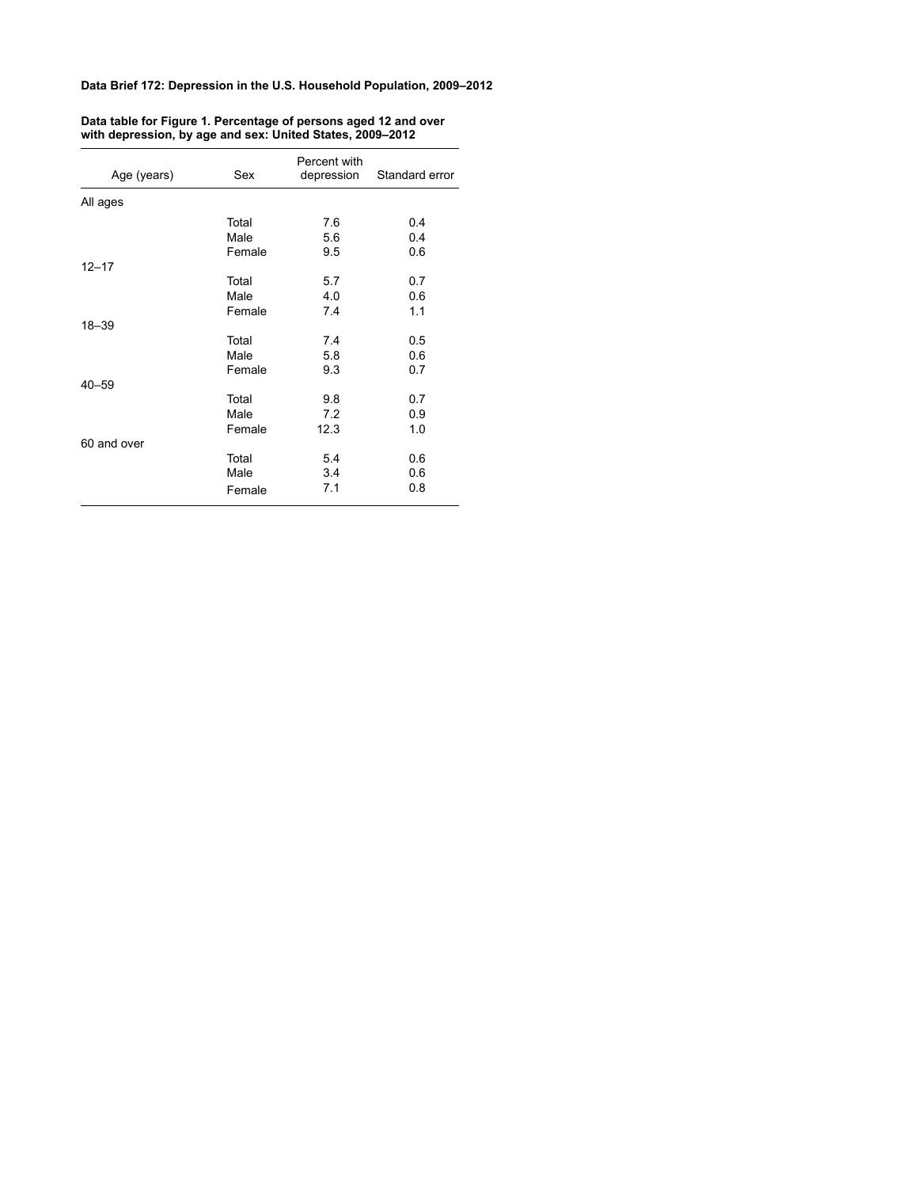| Age (years) | Sex    | Percent with<br>depression | Standard error |
|-------------|--------|----------------------------|----------------|
| All ages    |        |                            |                |
|             | Total  | 76                         | 0.4            |
|             | Male   | 5.6                        | 0.4            |
|             | Female | 9.5                        | 0.6            |
| $12 - 17$   |        |                            |                |
|             | Total  | 5.7                        | 0.7            |
|             | Male   | 4.0                        | 0.6            |
|             | Female | 7.4                        | 1.1            |
| 18-39       |        |                            |                |
|             | Total  | 7.4                        | 0.5            |
|             | Male   | 5.8                        | 0.6            |
|             | Female | 9.3                        | 0.7            |
| $40 - 59$   |        |                            |                |
|             | Total  | 9.8                        | 0.7            |
|             | Male   | 7.2                        | 0.9            |
|             | Female | 12.3                       | 1.0            |
| 60 and over |        |                            |                |
|             | Total  | 54                         | 0.6            |
|             | Male   | 3.4                        | 0.6            |
|             | Female | 7.1                        | 0.8            |

#### **Data table for Figure 1. Percentage of persons aged 12 and over with depression, by age and sex: United States, 2009–2012**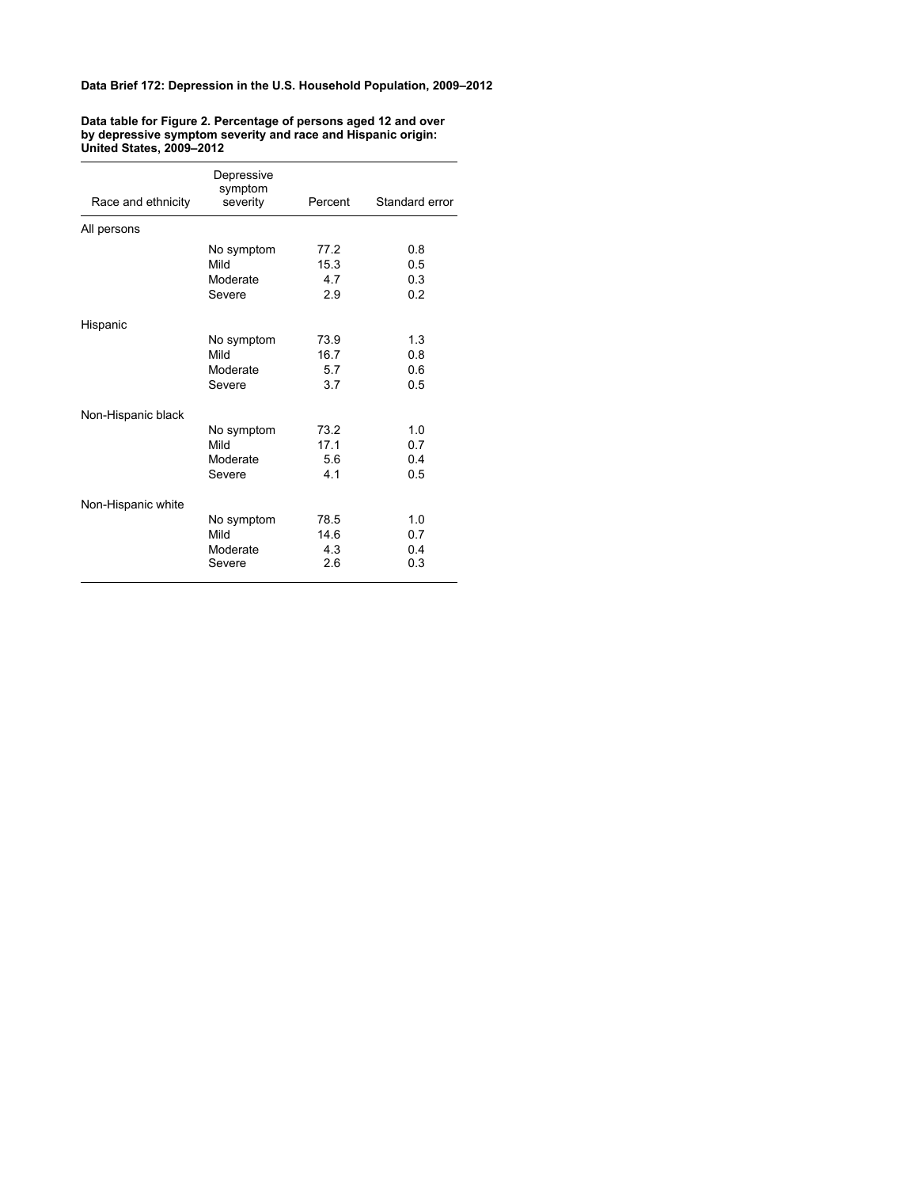| Race and ethnicity | Depressive<br>symptom<br>severity        | Percent                    | Standard error           |
|--------------------|------------------------------------------|----------------------------|--------------------------|
| All persons        |                                          |                            |                          |
|                    | No symptom<br>Mild<br>Moderate<br>Severe | 77.2<br>15.3<br>4.7<br>2.9 | 0.8<br>0.5<br>0.3<br>0.2 |
| Hispanic           |                                          |                            |                          |
|                    | No symptom<br>Mild<br>Moderate<br>Severe | 73.9<br>16.7<br>5.7<br>3.7 | 1.3<br>0.8<br>0.6<br>0.5 |
| Non-Hispanic black |                                          |                            |                          |
|                    | No symptom<br>Mild<br>Moderate<br>Severe | 73.2<br>17.1<br>5.6<br>4.1 | 1.0<br>0.7<br>0.4<br>0.5 |
| Non-Hispanic white |                                          |                            |                          |
|                    | No symptom<br>Mild<br>Moderate<br>Severe | 78.5<br>14.6<br>4.3<br>2.6 | 1.0<br>0.7<br>0.4<br>0.3 |

### **Data table for Figure 2. Percentage of persons aged 12 and over by depressive symptom severity and race and Hispanic origin: United States, 2009–2012**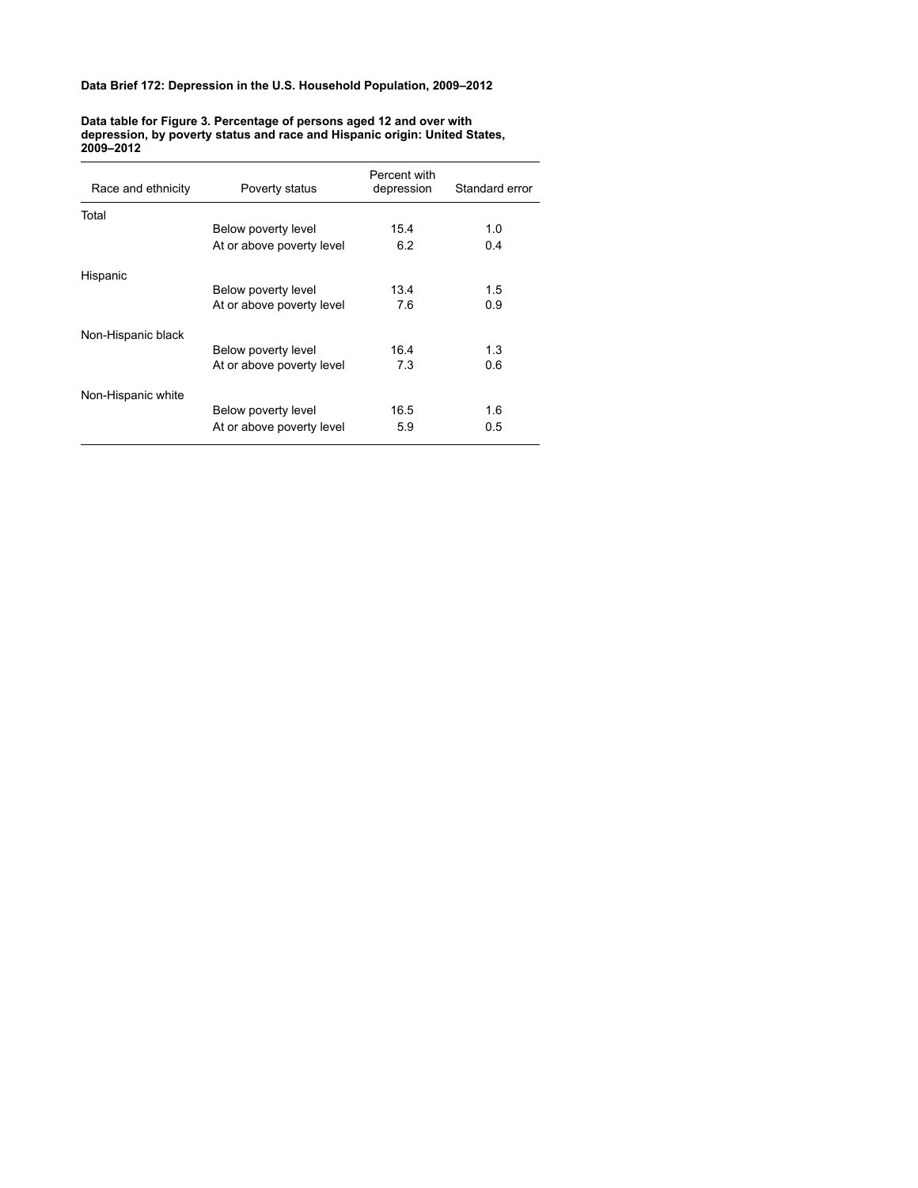**Data table for Figure 3. Percentage of persons aged 12 and over with depression, by poverty status and race and Hispanic origin: United States, 2009–2012**

| Race and ethnicity | Poverty status            | Percent with<br>depression | Standard error |
|--------------------|---------------------------|----------------------------|----------------|
| Total              |                           |                            |                |
|                    | Below poverty level       | 15.4                       | 1.0            |
|                    | At or above poverty level | 6.2                        | 0.4            |
| Hispanic           |                           |                            |                |
|                    | Below poverty level       | 134                        | 1.5            |
|                    | At or above poverty level | 7.6                        | 0.9            |
| Non-Hispanic black |                           |                            |                |
|                    | Below poverty level       | 16.4                       | 1.3            |
|                    | At or above poverty level | 7.3                        | 0.6            |
| Non-Hispanic white |                           |                            |                |
|                    | Below poverty level       | 16.5                       | 1.6            |
|                    | At or above poverty level | 5.9                        | 0.5            |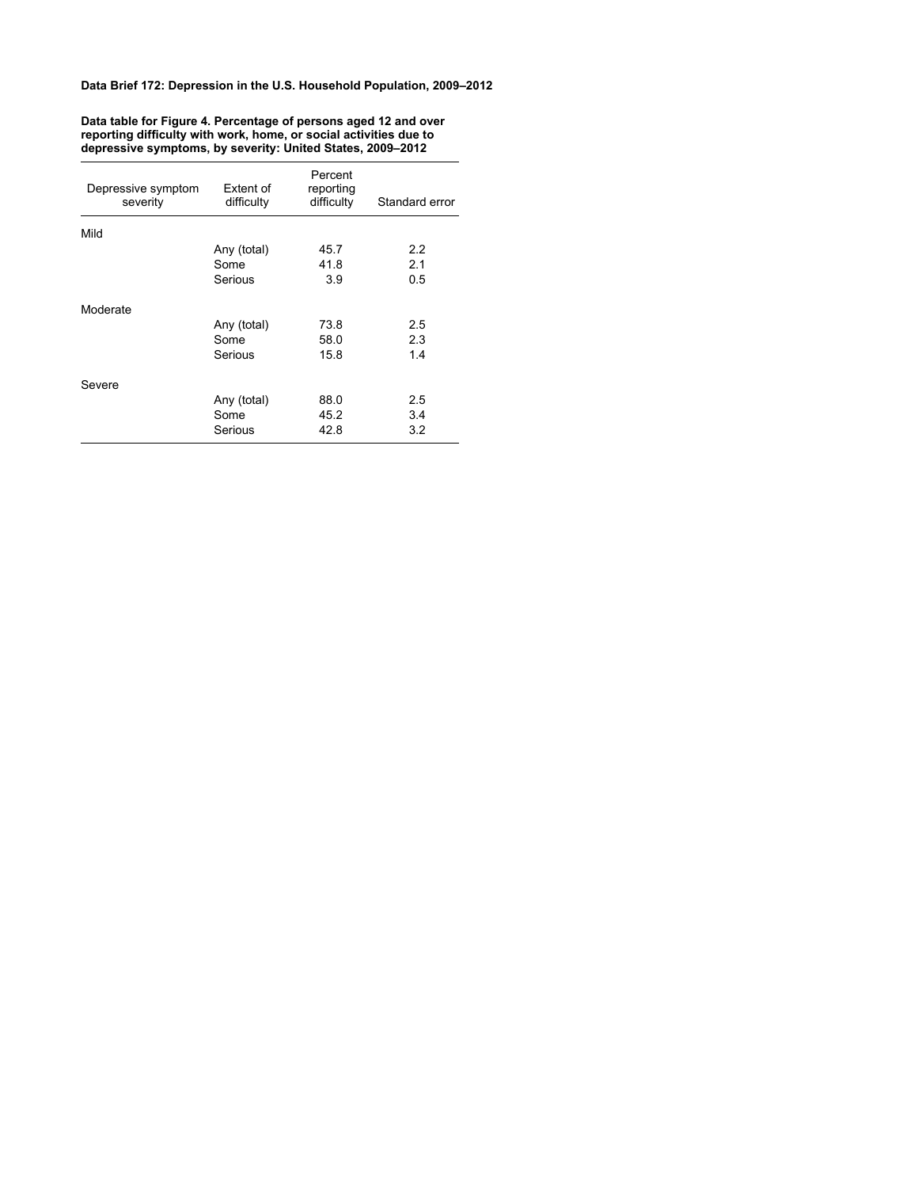| Depressive symptom<br>severity | Extent of<br>difficulty | Percent<br>reporting<br>difficulty | Standard error |
|--------------------------------|-------------------------|------------------------------------|----------------|
| Mild                           |                         |                                    |                |
|                                | Any (total)             | 45.7                               | 2.2            |
|                                | Some                    | 41.8                               | 2.1            |
|                                | Serious                 | 3.9                                | 0.5            |
| Moderate                       |                         |                                    |                |
|                                | Any (total)             | 73.8                               | 2.5            |
|                                | Some                    | 58.0                               | 2.3            |
|                                | Serious                 | 15.8                               | 1.4            |
| Severe                         |                         |                                    |                |
|                                | Any (total)             | 88.0                               | 2.5            |
|                                | Some                    | 45.2                               | 3.4            |
|                                | Serious                 | 42.8                               | 3.2            |
|                                |                         |                                    |                |

**Data table for Figure 4. Percentage of persons aged 12 and over reporting difficulty with work, home, or social activities due to depressive symptoms, by severity: United States, 2009–2012**